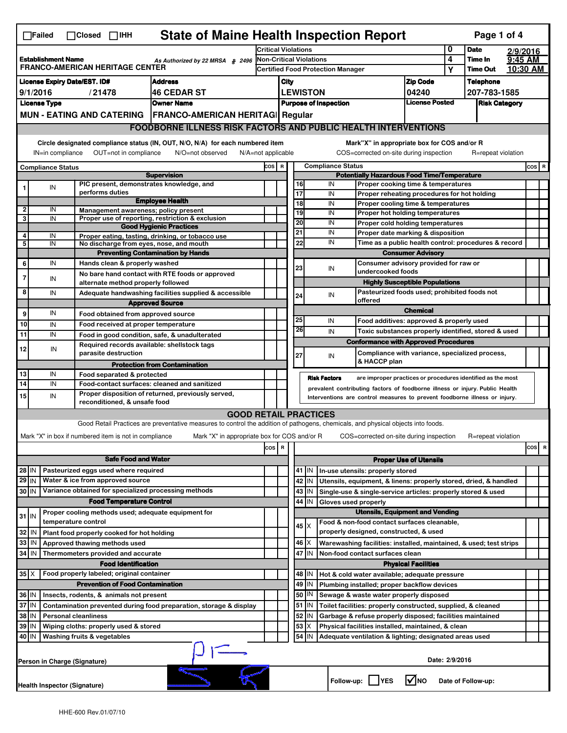| <b>State of Maine Health Inspection Report</b><br>Page 1 of 4<br>$\Box$ Failed<br>$\Box$ Closed $\Box$ IHH |                                                                                                                                                          |  |                                                                            |                                                                                                                                   |       |                              |                                                                            |         |                                                                                       |                                                              |                                                                                   |                            |                                                      |                      |  |           |  |
|------------------------------------------------------------------------------------------------------------|----------------------------------------------------------------------------------------------------------------------------------------------------------|--|----------------------------------------------------------------------------|-----------------------------------------------------------------------------------------------------------------------------------|-------|------------------------------|----------------------------------------------------------------------------|---------|---------------------------------------------------------------------------------------|--------------------------------------------------------------|-----------------------------------------------------------------------------------|----------------------------|------------------------------------------------------|----------------------|--|-----------|--|
|                                                                                                            |                                                                                                                                                          |  |                                                                            |                                                                                                                                   |       | <b>Critical Violations</b>   |                                                                            |         |                                                                                       |                                                              | 0                                                                                 | <b>Date</b>                | 2/9/2016                                             |                      |  |           |  |
| <b>Establishment Name</b><br>As Authorized by 22 MRSA § 2496<br><b>FRANCO-AMERICAN HERITAGE CENTER</b>     |                                                                                                                                                          |  |                                                                            | <b>Non-Critical Violations</b>                                                                                                    |       |                              |                                                                            |         |                                                                                       |                                                              |                                                                                   | 4                          | Time In                                              | 9:45 AM              |  |           |  |
|                                                                                                            |                                                                                                                                                          |  |                                                                            |                                                                                                                                   |       |                              | <b>Certified Food Protection Manager</b>                                   |         |                                                                                       |                                                              |                                                                                   |                            | Υ                                                    | <b>Time Out</b>      |  | 10:30 AM  |  |
| <b>License Expiry Date/EST. ID#</b><br><b>Address</b>                                                      |                                                                                                                                                          |  |                                                                            |                                                                                                                                   |       | City                         |                                                                            |         |                                                                                       |                                                              |                                                                                   | <b>Zip Code</b>            |                                                      | <b>Telephone</b>     |  |           |  |
| 9/1/2016<br><b>46 CEDAR ST</b><br>/21478                                                                   |                                                                                                                                                          |  |                                                                            |                                                                                                                                   |       |                              |                                                                            |         | <b>LEWISTON</b>                                                                       |                                                              |                                                                                   | 04240                      |                                                      | 207-783-1585         |  |           |  |
| <b>Owner Name</b><br><b>License Type</b>                                                                   |                                                                                                                                                          |  |                                                                            |                                                                                                                                   |       | <b>Purpose of Inspection</b> |                                                                            |         |                                                                                       |                                                              |                                                                                   | <b>License Posted</b>      |                                                      | <b>Risk Category</b> |  |           |  |
|                                                                                                            | <b>MUN - EATING AND CATERING</b><br><b>FRANCO-AMERICAN HERITAGI Regular</b><br><b>FOODBORNE ILLNESS RISK FACTORS AND PUBLIC HEALTH INTERVENTIONS</b>     |  |                                                                            |                                                                                                                                   |       |                              |                                                                            |         |                                                                                       |                                                              |                                                                                   |                            |                                                      |                      |  |           |  |
|                                                                                                            |                                                                                                                                                          |  |                                                                            |                                                                                                                                   |       |                              |                                                                            |         |                                                                                       |                                                              |                                                                                   |                            |                                                      |                      |  |           |  |
|                                                                                                            | Circle designated compliance status (IN, OUT, N/O, N/A) for each numbered item<br>Mark"X" in appropriate box for COS and/or R                            |  |                                                                            |                                                                                                                                   |       |                              |                                                                            |         |                                                                                       |                                                              |                                                                                   |                            |                                                      |                      |  |           |  |
|                                                                                                            | OUT=not in compliance<br>COS=corrected on-site during inspection<br>IN=in compliance<br>N/O=not observed<br>$N/A = not$ applicable<br>R=repeat violation |  |                                                                            |                                                                                                                                   |       |                              |                                                                            |         |                                                                                       |                                                              |                                                                                   |                            |                                                      |                      |  |           |  |
|                                                                                                            | <b>Compliance Status</b>                                                                                                                                 |  |                                                                            |                                                                                                                                   |       |                              | COS R<br><b>Compliance Status</b>                                          |         |                                                                                       |                                                              |                                                                                   |                            |                                                      |                      |  | $cos$ R   |  |
|                                                                                                            |                                                                                                                                                          |  | PIC present, demonstrates knowledge, and                                   | <b>Supervision</b>                                                                                                                |       |                              |                                                                            | 16      |                                                                                       | IN                                                           | <b>Potentially Hazardous Food Time/Temperature</b>                                |                            |                                                      |                      |  |           |  |
|                                                                                                            | IN                                                                                                                                                       |  | performs duties                                                            |                                                                                                                                   |       |                              |                                                                            | 17      |                                                                                       | IN                                                           | Proper cooking time & temperatures<br>Proper reheating procedures for hot holding |                            |                                                      |                      |  |           |  |
|                                                                                                            |                                                                                                                                                          |  |                                                                            | <b>Employee Health</b>                                                                                                            |       |                              |                                                                            | 18      |                                                                                       | IN                                                           | Proper cooling time & temperatures                                                |                            |                                                      |                      |  |           |  |
| $\mathbf{2}$                                                                                               | IN                                                                                                                                                       |  | Management awareness; policy present                                       |                                                                                                                                   |       |                              |                                                                            | 19      |                                                                                       | IN                                                           | <b>Proper hot holding temperatures</b>                                            |                            |                                                      |                      |  |           |  |
| 3                                                                                                          | IN                                                                                                                                                       |  |                                                                            | Proper use of reporting, restriction & exclusion<br><b>Good Hygienic Practices</b>                                                |       |                              |                                                                            | 20      |                                                                                       | IN                                                           | Proper cold holding temperatures                                                  |                            |                                                      |                      |  |           |  |
| 4                                                                                                          | IN                                                                                                                                                       |  |                                                                            | Proper eating, tasting, drinking, or tobacco use                                                                                  |       |                              |                                                                            | 21      |                                                                                       | IN                                                           | Proper date marking & disposition                                                 |                            |                                                      |                      |  |           |  |
| 5                                                                                                          | IN                                                                                                                                                       |  | No discharge from eyes, nose, and mouth                                    |                                                                                                                                   |       |                              |                                                                            | 22      |                                                                                       | IN                                                           |                                                                                   |                            | Time as a public health control: procedures & record |                      |  |           |  |
|                                                                                                            |                                                                                                                                                          |  |                                                                            | <b>Preventing Contamination by Hands</b>                                                                                          |       |                              |                                                                            |         |                                                                                       |                                                              |                                                                                   | <b>Consumer Advisory</b>   |                                                      |                      |  |           |  |
| 6                                                                                                          | IN                                                                                                                                                       |  | Hands clean & properly washed                                              |                                                                                                                                   |       |                              |                                                                            | 23      |                                                                                       | IN                                                           | Consumer advisory provided for raw or<br>undercooked foods                        |                            |                                                      |                      |  |           |  |
|                                                                                                            | IN                                                                                                                                                       |  | alternate method properly followed                                         | No bare hand contact with RTE foods or approved                                                                                   |       |                              |                                                                            |         |                                                                                       |                                                              | <b>Highly Susceptible Populations</b>                                             |                            |                                                      |                      |  |           |  |
| 8                                                                                                          | IN                                                                                                                                                       |  |                                                                            | Adequate handwashing facilities supplied & accessible                                                                             |       |                              |                                                                            | 24      |                                                                                       | IN                                                           | Pasteurized foods used; prohibited foods not                                      |                            |                                                      |                      |  |           |  |
|                                                                                                            |                                                                                                                                                          |  |                                                                            | <b>Approved Source</b>                                                                                                            |       |                              |                                                                            |         |                                                                                       |                                                              | offered                                                                           |                            |                                                      |                      |  |           |  |
| 9                                                                                                          | IN                                                                                                                                                       |  | Food obtained from approved source                                         |                                                                                                                                   |       |                              |                                                                            |         |                                                                                       |                                                              |                                                                                   | <b>Chemical</b>            |                                                      |                      |  |           |  |
| 10                                                                                                         | IN                                                                                                                                                       |  | Food received at proper temperature                                        |                                                                                                                                   |       |                              |                                                                            | 25      |                                                                                       | IN                                                           | Food additives: approved & properly used                                          |                            |                                                      |                      |  |           |  |
| 11                                                                                                         | IN                                                                                                                                                       |  |                                                                            | Food in good condition, safe, & unadulterated                                                                                     |       |                              |                                                                            | 26      |                                                                                       | IN                                                           | Toxic substances properly identified, stored & used                               |                            |                                                      |                      |  |           |  |
| 12                                                                                                         | IN                                                                                                                                                       |  | Required records available: shellstock tags                                |                                                                                                                                   |       |                              |                                                                            |         |                                                                                       |                                                              | <b>Conformance with Approved Procedures</b>                                       |                            |                                                      |                      |  |           |  |
|                                                                                                            |                                                                                                                                                          |  | parasite destruction                                                       |                                                                                                                                   |       |                              |                                                                            | 27      |                                                                                       | IN                                                           | Compliance with variance, specialized process,<br>& HACCP plan                    |                            |                                                      |                      |  |           |  |
|                                                                                                            |                                                                                                                                                          |  |                                                                            | <b>Protection from Contamination</b>                                                                                              |       |                              |                                                                            |         |                                                                                       |                                                              |                                                                                   |                            |                                                      |                      |  |           |  |
| 13<br>14                                                                                                   | IN<br>IN                                                                                                                                                 |  | Food separated & protected<br>Food-contact surfaces: cleaned and sanitized |                                                                                                                                   |       |                              |                                                                            |         | <b>Risk Factors</b>                                                                   |                                                              | are improper practices or procedures identified as the most                       |                            |                                                      |                      |  |           |  |
| 15                                                                                                         | IN                                                                                                                                                       |  |                                                                            | Proper disposition of returned, previously served,                                                                                |       |                              |                                                                            |         |                                                                                       |                                                              | prevalent contributing factors of foodborne illness or injury. Public Health      |                            |                                                      |                      |  |           |  |
|                                                                                                            |                                                                                                                                                          |  | reconditioned, & unsafe food                                               |                                                                                                                                   |       |                              | Interventions are control measures to prevent foodborne illness or injury. |         |                                                                                       |                                                              |                                                                                   |                            |                                                      |                      |  |           |  |
|                                                                                                            |                                                                                                                                                          |  |                                                                            | <b>GOOD RETAIL PRACTICES</b>                                                                                                      |       |                              |                                                                            |         |                                                                                       |                                                              |                                                                                   |                            |                                                      |                      |  |           |  |
|                                                                                                            |                                                                                                                                                          |  |                                                                            | Good Retail Practices are preventative measures to control the addition of pathogens, chemicals, and physical objects into foods. |       |                              |                                                                            |         |                                                                                       |                                                              |                                                                                   |                            |                                                      |                      |  |           |  |
|                                                                                                            |                                                                                                                                                          |  | Mark "X" in box if numbered item is not in compliance                      | Mark "X" in appropriate box for COS and/or R                                                                                      |       |                              |                                                                            |         |                                                                                       |                                                              | COS=corrected on-site during inspection                                           |                            |                                                      | R=repeat violation   |  |           |  |
|                                                                                                            |                                                                                                                                                          |  |                                                                            |                                                                                                                                   | COS R |                              |                                                                            |         |                                                                                       |                                                              |                                                                                   |                            |                                                      |                      |  | cosl<br>R |  |
| <b>Safe Food and Water</b><br><b>Proper Use of Utensils</b>                                                |                                                                                                                                                          |  |                                                                            |                                                                                                                                   |       |                              |                                                                            |         |                                                                                       |                                                              |                                                                                   |                            |                                                      |                      |  |           |  |
| $28$ IN                                                                                                    |                                                                                                                                                          |  | Pasteurized eggs used where required                                       |                                                                                                                                   |       |                              |                                                                            | 41   IN |                                                                                       | In-use utensils: properly stored                             |                                                                                   |                            |                                                      |                      |  |           |  |
| $29$ IN                                                                                                    |                                                                                                                                                          |  | Water & ice from approved source                                           |                                                                                                                                   |       |                              |                                                                            | 42      | IN                                                                                    |                                                              | Utensils, equipment, & linens: properly stored, dried, & handled                  |                            |                                                      |                      |  |           |  |
| 30 IN                                                                                                      |                                                                                                                                                          |  | Variance obtained for specialized processing methods                       |                                                                                                                                   |       |                              |                                                                            | 43      | IN                                                                                    |                                                              | Single-use & single-service articles: properly stored & used                      |                            |                                                      |                      |  |           |  |
|                                                                                                            |                                                                                                                                                          |  | <b>Food Temperature Control</b>                                            |                                                                                                                                   |       |                              | 44<br>IN<br>Gloves used properly                                           |         |                                                                                       |                                                              |                                                                                   |                            |                                                      |                      |  |           |  |
| $31$ IN                                                                                                    |                                                                                                                                                          |  | Proper cooling methods used; adequate equipment for                        |                                                                                                                                   |       |                              |                                                                            |         | <b>Utensils, Equipment and Vending</b><br>Food & non-food contact surfaces cleanable, |                                                              |                                                                                   |                            |                                                      |                      |  |           |  |
| 32                                                                                                         | IN                                                                                                                                                       |  | temperature control<br>Plant food properly cooked for hot holding          |                                                                                                                                   |       |                              |                                                                            | 45   X  |                                                                                       |                                                              | properly designed, constructed, & used                                            |                            |                                                      |                      |  |           |  |
| 33                                                                                                         | IN                                                                                                                                                       |  | Approved thawing methods used                                              |                                                                                                                                   |       |                              |                                                                            | 46      | ΙX                                                                                    |                                                              | Warewashing facilities: installed, maintained, & used; test strips                |                            |                                                      |                      |  |           |  |
| 34 IN                                                                                                      |                                                                                                                                                          |  | Thermometers provided and accurate                                         |                                                                                                                                   |       |                              |                                                                            | 47 IN   |                                                                                       |                                                              | Non-food contact surfaces clean                                                   |                            |                                                      |                      |  |           |  |
|                                                                                                            |                                                                                                                                                          |  | <b>Food Identification</b>                                                 |                                                                                                                                   |       |                              |                                                                            |         |                                                                                       |                                                              |                                                                                   | <b>Physical Facilities</b> |                                                      |                      |  |           |  |
| $35$ $\times$                                                                                              |                                                                                                                                                          |  | Food properly labeled; original container                                  |                                                                                                                                   |       |                              |                                                                            | 48   IN |                                                                                       |                                                              | Hot & cold water available; adequate pressure                                     |                            |                                                      |                      |  |           |  |
|                                                                                                            |                                                                                                                                                          |  | <b>Prevention of Food Contamination</b>                                    |                                                                                                                                   |       |                              |                                                                            | 49      | IN                                                                                    |                                                              | Plumbing installed; proper backflow devices                                       |                            |                                                      |                      |  |           |  |
| 36 IN<br>Insects, rodents, & animals not present                                                           |                                                                                                                                                          |  |                                                                            |                                                                                                                                   |       | 50   IN                      |                                                                            |         | Sewage & waste water properly disposed                                                |                                                              |                                                                                   |                            |                                                      |                      |  |           |  |
| 37 IN<br>Contamination prevented during food preparation, storage & display                                |                                                                                                                                                          |  |                                                                            |                                                                                                                                   |       |                              | $51$ M                                                                     |         |                                                                                       | Toilet facilities: properly constructed, supplied, & cleaned |                                                                                   |                            |                                                      |                      |  |           |  |
| 38 IN<br><b>Personal cleanliness</b>                                                                       |                                                                                                                                                          |  |                                                                            |                                                                                                                                   |       |                              | 52                                                                         | IN      |                                                                                       | Garbage & refuse properly disposed; facilities maintained    |                                                                                   |                            |                                                      |                      |  |           |  |
| 39 IN<br>Wiping cloths: properly used & stored                                                             |                                                                                                                                                          |  |                                                                            |                                                                                                                                   |       |                              | 53                                                                         |         | Physical facilities installed, maintained, & clean                                    |                                                              |                                                                                   |                            |                                                      |                      |  |           |  |
|                                                                                                            | 54<br>40 IN<br>Washing fruits & vegetables<br>IN<br>Adequate ventilation & lighting; designated areas used                                               |  |                                                                            |                                                                                                                                   |       |                              |                                                                            |         |                                                                                       |                                                              |                                                                                   |                            |                                                      |                      |  |           |  |
|                                                                                                            | Date: 2/9/2016<br>Person in Charge (Signature)                                                                                                           |  |                                                                            |                                                                                                                                   |       |                              |                                                                            |         |                                                                                       |                                                              |                                                                                   |                            |                                                      |                      |  |           |  |
|                                                                                                            | l√lno<br>Follow-up:     YES<br>Date of Follow-up:<br>Health Inspector (Signature)                                                                        |  |                                                                            |                                                                                                                                   |       |                              |                                                                            |         |                                                                                       |                                                              |                                                                                   |                            |                                                      |                      |  |           |  |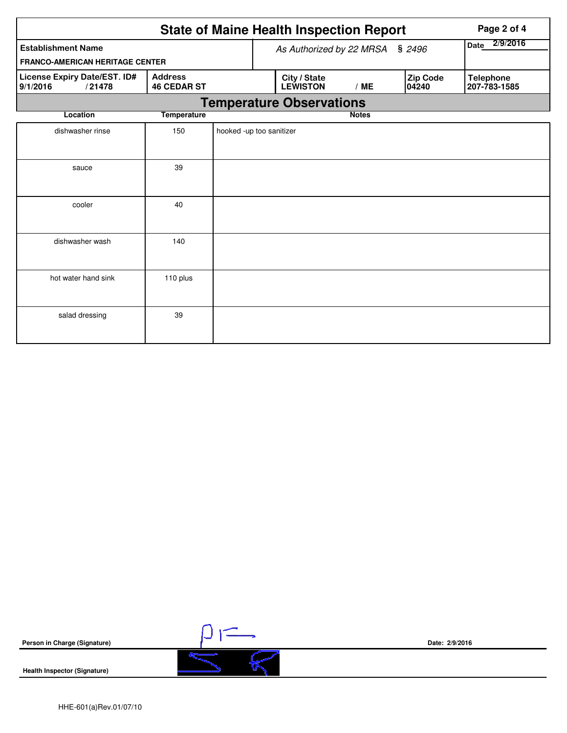|                                                    | <b>State of Maine Health Inspection Report</b> |                          |                                 | Page 2 of 4  |                   |                                  |
|----------------------------------------------------|------------------------------------------------|--------------------------|---------------------------------|--------------|-------------------|----------------------------------|
| <b>Establishment Name</b>                          | As Authorized by 22 MRSA                       | 2/9/2016<br><b>Date</b>  |                                 |              |                   |                                  |
| <b>FRANCO-AMERICAN HERITAGE CENTER</b>             |                                                |                          |                                 |              |                   |                                  |
| License Expiry Date/EST. ID#<br>9/1/2016<br>/21478 | <b>Address</b><br><b>46 CEDAR ST</b>           |                          | City / State<br><b>LEWISTON</b> | /ME          | Zip Code<br>04240 | <b>Telephone</b><br>207-783-1585 |
|                                                    | <b>Temperature Observations</b>                |                          |                                 |              |                   |                                  |
| Location                                           | <b>Temperature</b>                             |                          |                                 | <b>Notes</b> |                   |                                  |
| dishwasher rinse                                   | 150                                            | hooked -up too sanitizer |                                 |              |                   |                                  |
| sauce                                              | 39                                             |                          |                                 |              |                   |                                  |
| cooler                                             | 40                                             |                          |                                 |              |                   |                                  |
| dishwasher wash                                    | 140                                            |                          |                                 |              |                   |                                  |
| hot water hand sink                                | 110 plus                                       |                          |                                 |              |                   |                                  |
| salad dressing                                     | 39                                             |                          |                                 |              |                   |                                  |



 $\frac{1}{5}$ 

**Health Inspector (Signature)** 

**Date: 2/9/2016**

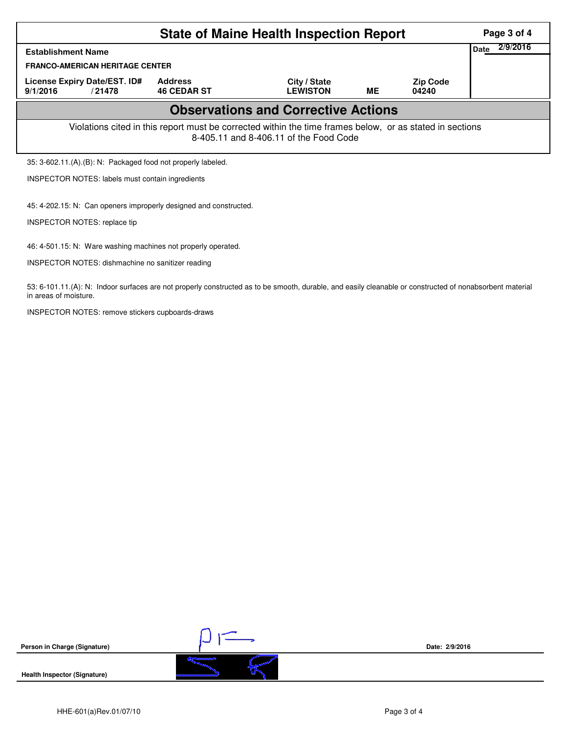|                                                                                                                                                    |                                                               | Page 3 of 4                     |           |                          |  |  |  |  |  |
|----------------------------------------------------------------------------------------------------------------------------------------------------|---------------------------------------------------------------|---------------------------------|-----------|--------------------------|--|--|--|--|--|
| <b>Establishment Name</b>                                                                                                                          | Date                                                          | 2/9/2016                        |           |                          |  |  |  |  |  |
| <b>FRANCO-AMERICAN HERITAGE CENTER</b>                                                                                                             |                                                               |                                 |           |                          |  |  |  |  |  |
| License Expiry Date/EST. ID#<br>9/1/2016<br>/21478                                                                                                 | <b>Address</b><br><b>46 CEDAR ST</b>                          | City / State<br><b>LEWISTON</b> | <b>ME</b> | <b>Zip Code</b><br>04240 |  |  |  |  |  |
| <b>Observations and Corrective Actions</b>                                                                                                         |                                                               |                                 |           |                          |  |  |  |  |  |
| Violations cited in this report must be corrected within the time frames below, or as stated in sections<br>8-405.11 and 8-406.11 of the Food Code |                                                               |                                 |           |                          |  |  |  |  |  |
| 35: 3-602.11.(A).(B): N: Packaged food not properly labeled.                                                                                       |                                                               |                                 |           |                          |  |  |  |  |  |
| <b>INSPECTOR NOTES: labels must contain ingredients</b>                                                                                            |                                                               |                                 |           |                          |  |  |  |  |  |
| 45: 4-202.15: N: Can openers improperly designed and constructed.<br>INSPECTOR NOTES: replace tip                                                  |                                                               |                                 |           |                          |  |  |  |  |  |
|                                                                                                                                                    | 46: 4-501.15: N: Ware washing machines not properly operated. |                                 |           |                          |  |  |  |  |  |
| <b>INSPECTOR NOTES: dishmachine no sanitizer reading</b>                                                                                           |                                                               |                                 |           |                          |  |  |  |  |  |

53: 6-101.11.(A): N: Indoor surfaces are not properly constructed as to be smooth, durable, and easily cleanable or constructed of nonabsorbent material in areas of moisture.

INSPECTOR NOTES: remove stickers cupboards-draws